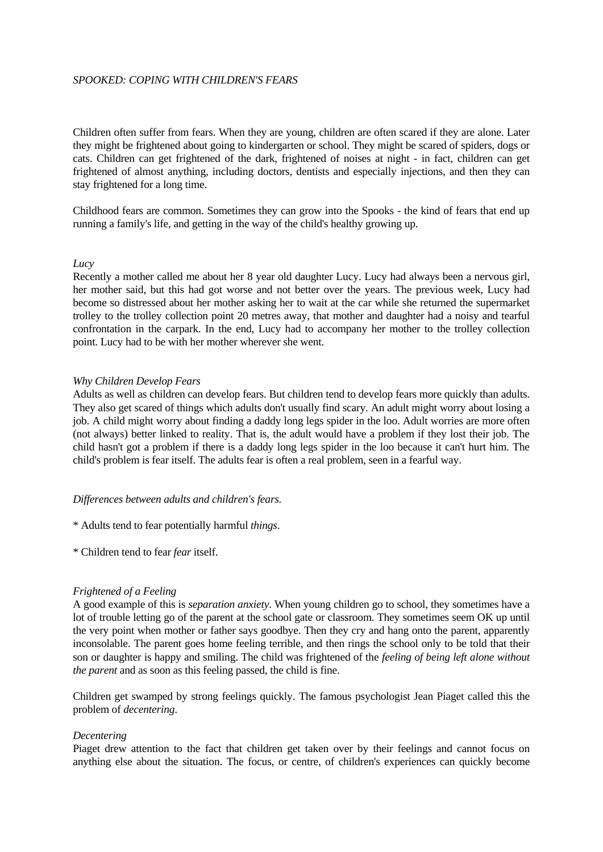### *SPOOKED: COPING WITH CHILDREN'S FEARS*

Children often suffer from fears. When they are young, children are often scared if they are alone. Later they might be frightened about going to kindergarten or school. They might be scared of spiders, dogs or cats. Children can get frightened of the dark, frightened of noises at night - in fact, children can get frightened of almost anything, including doctors, dentists and especially injections, and then they can stay frightened for a long time.

Childhood fears are common. Sometimes they can grow into the Spooks - the kind of fears that end up running a family's life, and getting in the way of the child's healthy growing up.

#### *Lucy*

Recently a mother called me about her 8 year old daughter Lucy. Lucy had always been a nervous girl, her mother said, but this had got worse and not better over the years. The previous week, Lucy had become so distressed about her mother asking her to wait at the car while she returned the supermarket trolley to the trolley collection point 20 metres away, that mother and daughter had a noisy and tearful confrontation in the carpark. In the end, Lucy had to accompany her mother to the trolley collection point. Lucy had to be with her mother wherever she went.

### *Why Children Develop Fears*

Adults as well as children can develop fears. But children tend to develop fears more quickly than adults. They also get scared of things which adults don't usually find scary. An adult might worry about losing a job. A child might worry about finding a daddy long legs spider in the loo. Adult worries are more often (not always) better linked to reality. That is, the adult would have a problem if they lost their job. The child hasn't got a problem if there is a daddy long legs spider in the loo because it can't hurt him. The child's problem is fear itself. The adults fear is often a real problem, seen in a fearful way.

### *Differences between adults and children's fears.*

- \* Adults tend to fear potentially harmful *things*.
- \* Children tend to fear *fear* itself.

### *Frightened of a Feeling*

A good example of this is *separation anxiety*. When young children go to school, they sometimes have a lot of trouble letting go of the parent at the school gate or classroom. They sometimes seem OK up until the very point when mother or father says goodbye. Then they cry and hang onto the parent, apparently inconsolable. The parent goes home feeling terrible, and then rings the school only to be told that their son or daughter is happy and smiling. The child was frightened of the *feeling of being left alone without the parent* and as soon as this feeling passed, the child is fine.

Children get swamped by strong feelings quickly. The famous psychologist Jean Piaget called this the problem of *decentering*.

#### *Decentering*

Piaget drew attention to the fact that children get taken over by their feelings and cannot focus on anything else about the situation. The focus, or centre, of children's experiences can quickly become